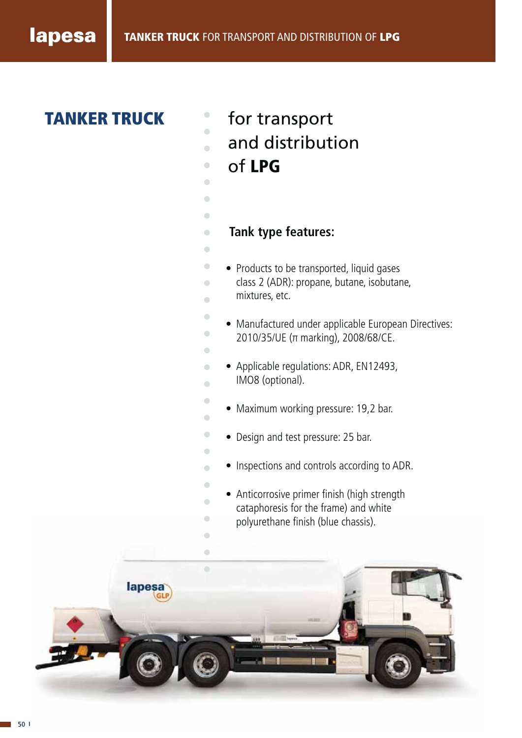# **TANKER TRUCK** for transport

- 
- and distribution  $\begin{array}{c} \bullet \\ \bullet \end{array}$
- of **LPG**  $\begin{array}{c} \bullet \\ \bullet \end{array}$
- $\bullet$

Ċ

 $\bullet$  $\begin{array}{c} \bullet \\ \bullet \end{array}$  $\overline{\phantom{a}}$ 

 $\bullet$  $\bullet$  $\bullet$  $\begin{array}{c} \bullet \\ \bullet \end{array}$  $\bullet$  $\begin{array}{c} \bullet \\ \bullet \end{array}$  $\begin{array}{c} \bullet \\ \bullet \end{array}$  $\blacksquare$  $\blacksquare$  $\blacksquare$  $\begin{array}{c} \bullet \\ \bullet \end{array}$  $\bullet$  $\bullet$  $\bullet$  $\begin{array}{c} \bullet \\ \bullet \end{array}$ Ċ  $\begin{array}{c} \bullet \\ \bullet \end{array}$ 

- **Tank type features:**
- Products to be transported, liquid gases class 2 (ADR): propane, butane, isobutane, mixtures, etc.
	- Manufactured under applicable European Directives: 2010/35/UE (π marking), 2008/68/CE.
- Applicable regulations: ADR, EN12493, IMO8 (optional).
- Maximum working pressure: 19,2 bar.
- Design and test pressure: 25 bar.
- Inspections and controls according to ADR.
- Anticorrosive primer finish (high strength cataphoresis for the frame) and white polyurethane finish (blue chassis).

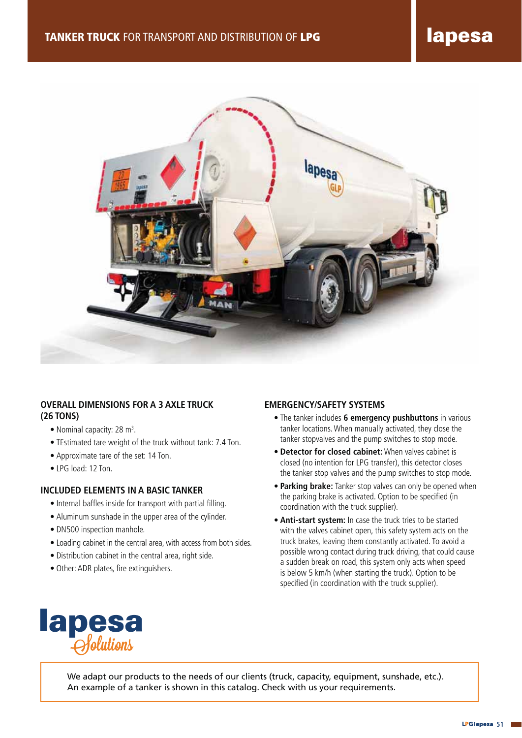

# **OVERALL DIMENSIONS FOR A 3 AXLE TRUCK (26 TONS)**

- Nominal capacity: 28 m<sup>3</sup>.
- TEstimated tare weight of the truck without tank: 7.4 Ton.
- Approximate tare of the set: 14 Ton.
- LPG load: 12 Ton.

## **INCLUDED ELEMENTS IN A BASIC TANKER**

- Internal baffles inside for transport with partial filling.
- Aluminum sunshade in the upper area of the cylinder.
- DN500 inspection manhole.
- Loading cabinet in the central area, with access from both sides.
- Distribution cabinet in the central area, right side.
- Other: ADR plates, fire extinguishers.

## **EMERGENCY/SAFETY SYSTEMS**

- The tanker includes **6 emergency pushbuttons** in various tanker locations. When manually activated, they close the tanker stopvalves and the pump switches to stop mode.
- **Detector for closed cabinet:** When valves cabinet is closed (no intention for LPG transfer), this detector closes the tanker stop valves and the pump switches to stop mode.
- **Parking brake:** Tanker stop valves can only be opened when the parking brake is activated. Option to be specified (in coordination with the truck supplier).
- **Anti-start system:** In case the truck tries to be started with the valves cabinet open, this safety system acts on the truck brakes, leaving them constantly activated. To avoid a possible wrong contact during truck driving, that could cause a sudden break on road, this system only acts when speed is below 5 km/h (when starting the truck). Option to be specified (in coordination with the truck supplier).



We adapt our products to the needs of our clients (truck, capacity, equipment, sunshade, etc.). An example of a tanker is shown in this catalog. Check with us your requirements.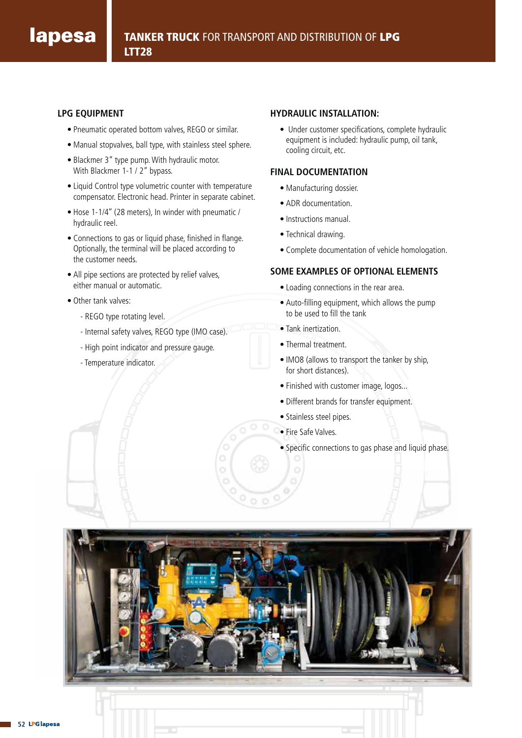## **LPG EQUIPMENT**

- Pneumatic operated bottom valves, REGO or similar.
- Manual stopvalves, ball type, with stainless steel sphere.
- Blackmer 3" type pump. With hydraulic motor. With Blackmer 1-1 / 2" bypass.
- Liquid Control type volumetric counter with temperature compensator. Electronic head. Printer in separate cabinet.
- Hose 1-1/4'' (28 meters), In winder with pneumatic / hydraulic reel.
- Connections to gas or liquid phase, finished in flange. Optionally, the terminal will be placed according to the customer needs.
- All pipe sections are protected by relief valves, either manual or automatic.
- Other tank valves:
	- REGO type rotating level.
	- Internal safety valves, REGO type (IMO case).
	- High point indicator and pressure gauge.
	- Temperature indicator.

#### **HYDRAULIC INSTALLATION:**

• Under customer specifications, complete hydraulic equipment is included: hydraulic pump, oil tank, cooling circuit, etc.

## **FINAL DOCUMENTATION**

- Manufacturing dossier.
- ADR documentation.
- Instructions manual.
- Technical drawing.
- Complete documentation of vehicle homologation.

## **SOME EXAMPLES OF OPTIONAL ELEMENTS**

- Loading connections in the rear area.
- Auto-filling equipment, which allows the pump to be used to fill the tank
- Tank inertization.
- Thermal treatment.
- IMO8 (allows to transport the tanker by ship, for short distances).
- Finished with customer image, logos...
- Different brands for transfer equipment.
- Stainless steel pipes.
- Fire Safe Valves.
- Specific connections to gas phase and liquid phase.